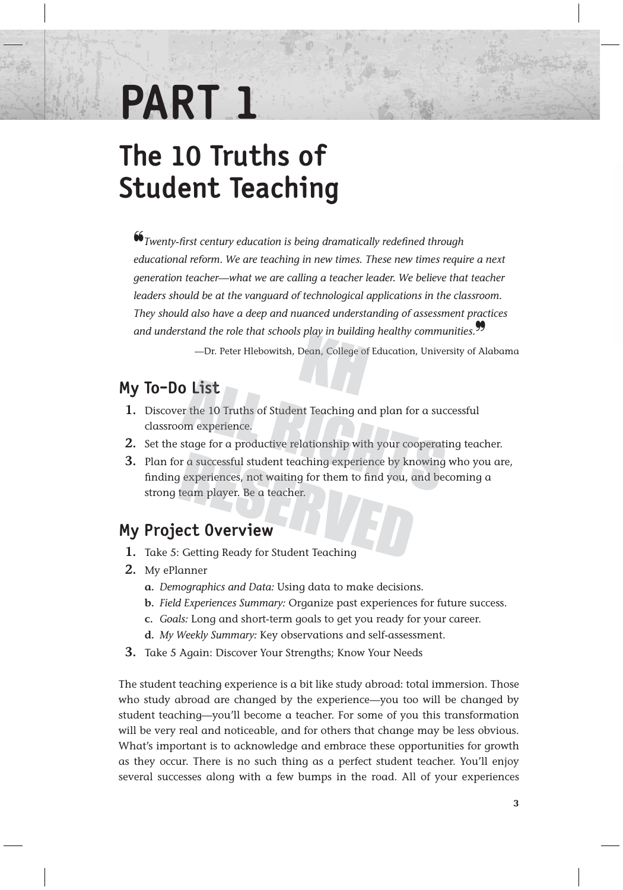# **Part 1**

### **The 10 Truths of Student Teaching**

❝*Twenty-first century education is being dramatically redefined through educational reform. We are teaching in new times. These new times require a next generation teacher—what we are calling a teacher leader. We believe that teacher leaders should be at the vanguard of technological applications in the classroom. They should also have a deep and nuanced understanding of assessment practices and understand the role that schools play in building healthy communities.*❞

—Dr. Peter Hlebowitsh, Dean, College of Education, University of Alabama

#### **My To-Do List**

- **1.** Discover the 10 Truths of Student Teaching and plan for a successful classroom experience.
- **2.** Set the stage for a productive relationship with your cooperating teacher.
- **3.** Plan for a successful student teaching experience by knowing who you are, finding experiences, not waiting for them to find you, and becoming a strong team player. Be a teacher.

#### **My Project Overview**

- **1.** Take 5: Getting Ready for Student Teaching
- **2.** My ePlanner
	- **a.** *Demographics and Data:* Using data to make decisions.
	- **b.** *Field Experiences Summary:* Organize past experiences for future success.
	- **c.** *Goals:* Long and short-term goals to get you ready for your career.
	- **d.** *My Weekly Summary:* Key observations and self-assessment.
- **3.** Take 5 Again: Discover Your Strengths; Know Your Needs

The student teaching experience is a bit like study abroad: total immersion. Those who study abroad are changed by the experience—you too will be changed by student teaching—you'll become a teacher. For some of you this transformation will be very real and noticeable, and for others that change may be less obvious. What's important is to acknowledge and embrace these opportunities for growth as they occur. There is no such thing as a perfect student teacher. You'll enjoy several successes along with a few bumps in the road. All of your experiences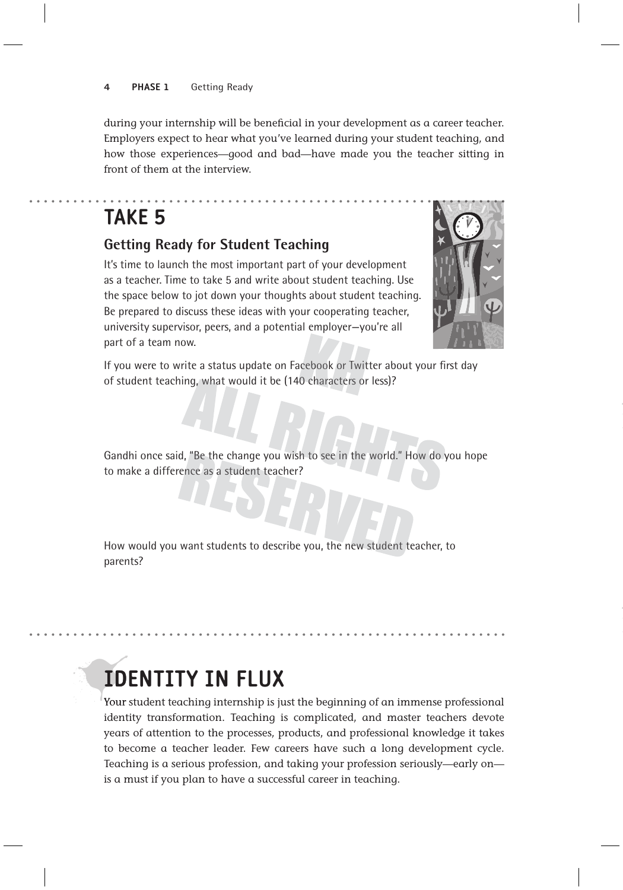during your internship will be beneficial in your development as a career teacher. Employers expect to hear what you've learned during your student teaching, and how those experiences—good and bad—have made you the teacher sitting in front of them at the interview.

### **takE 5**

#### **Getting Ready for Student Teaching**

It's time to launch the most important part of your development as a teacher. Time to take 5 and write about student teaching. Use the space below to jot down your thoughts about student teaching. Be prepared to discuss these ideas with your cooperating teacher, university supervisor, peers, and a potential employer—you're all part of a team now.



If you were to write a status update on Facebook or Twitter about your first day of student teaching, what would it be (140 characters or less)?

Gandhi once said, "Be the change you wish to see in the world." How do you hope to make a difference as a student teacher?

How would you want students to describe you, the new student teacher, to parents?

### **IDEntItY In FLuX** TD

Your student teaching internship is just the beginning of an immense professional identity transformation. Teaching is complicated, and master teachers devote years of attention to the processes, products, and professional knowledge it takes to become a teacher leader. Few careers have such a long development cycle. Teaching is a serious profession, and taking your profession seriously—early on is a must if you plan to have a successful career in teaching.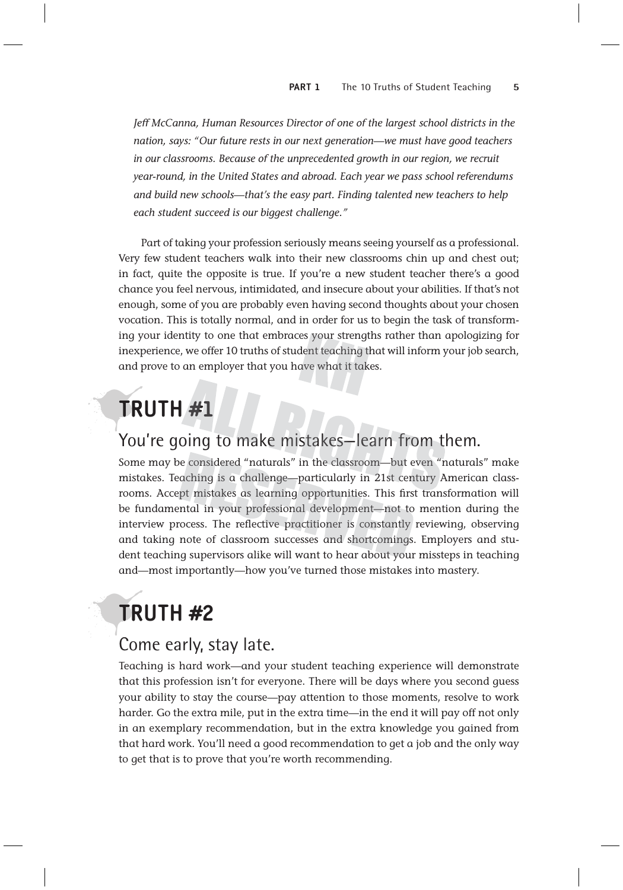*Jeff McCanna, Human Resources Director of one of the largest school districts in the nation, says: "Our future rests in our next generation—we must have good teachers in our classrooms. Because of the unprecedented growth in our region, we recruit year-round, in the United States and abroad. Each year we pass school referendums and build new schools—that's the easy part. Finding talented new teachers to help each student succeed is our biggest challenge."*

Part of taking your profession seriously means seeing yourself as a professional. Very few student teachers walk into their new classrooms chin up and chest out; in fact, quite the opposite is true. If you're a new student teacher there's a good chance you feel nervous, intimidated, and insecure about your abilities. If that's not enough, some of you are probably even having second thoughts about your chosen vocation. This is totally normal, and in order for us to begin the task of transforming your identity to one that embraces your strengths rather than apologizing for inexperience, we offer 10 truths of student teaching that will inform your job search, and prove to an employer that you have what it takes.

### **trutH #1**

#### You're going to make mistakes—learn from them.

Some may be considered "naturals" in the classroom—but even "naturals" make mistakes. Teaching is a challenge—particularly in 21st century American classrooms. Accept mistakes as learning opportunities. This first transformation will be fundamental in your professional development—not to mention during the interview process. The reflective practitioner is constantly reviewing, observing and taking note of classroom successes and shortcomings. Employers and student teaching supervisors alike will want to hear about your missteps in teaching and—most importantly—how you've turned those mistakes into mastery. TRI<br>
You'<br>
Some<br>
mistal<br>
rooms<br>
be fur<br>
interv<br>
and—<br>
and—<br>
TRI

### **trutH #2**

#### Come early, stay late.

Teaching is hard work—and your student teaching experience will demonstrate that this profession isn't for everyone. There will be days where you second guess your ability to stay the course—pay attention to those moments, resolve to work harder. Go the extra mile, put in the extra time—in the end it will pay off not only in an exemplary recommendation, but in the extra knowledge you gained from that hard work. You'll need a good recommendation to get a job and the only way to get that is to prove that you're worth recommending.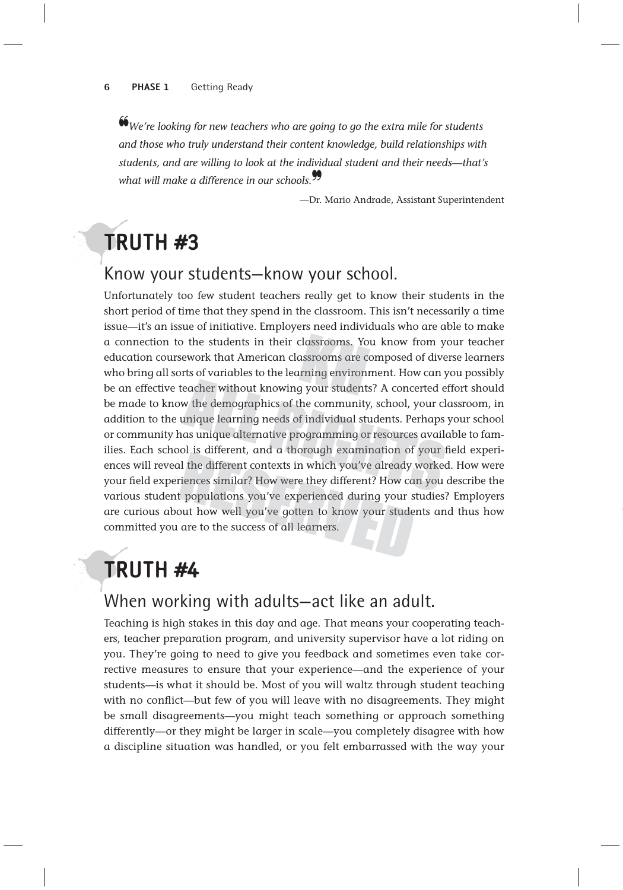❝*We're looking for new teachers who are going to go the extra mile for students and those who truly understand their content knowledge, build relationships with students, and are willing to look at the individual student and their needs—that's what will make a difference in our schools.*❞

—Dr. Mario Andrade, Assistant Superintendent

### **trutH #3**

#### Know your students—know your school.

Unfortunately too few student teachers really get to know their students in the short period of time that they spend in the classroom. This isn't necessarily a time issue—it's an issue of initiative. Employers need individuals who are able to make a connection to the students in their classrooms. You know from your teacher education coursework that American classrooms are composed of diverse learners who bring all sorts of variables to the learning environment. How can you possibly be an effective teacher without knowing your students? A concerted effort should be made to know the demographics of the community, school, your classroom, in addition to the unique learning needs of individual students. Perhaps your school or community has unique alternative programming or resources available to families. Each school is different, and a thorough examination of your field experiences will reveal the different contexts in which you've already worked. How were your field experiences similar? How were they different? How can you describe the various student populations you've experienced during your studies? Employers are curious about how well you've gotten to know your students and thus how committed you are to the success of all learners. **GEVE COOMBY THEON THEOTENT CONDUCTS CONDUCT AND THEOTENT CONDUCTS CONDUCTS AND THEOTENT SOMETHING THEOTENT SOMETHING THEOTENT SOMETHING WAS UNDERENDED TO THE SOMETHING WAS ARROW YOUT SUPPORT CONDUCT SOMETHING WAS ARROW Y** 

### **trutH #4**

#### When working with adults—act like an adult.

Teaching is high stakes in this day and age. That means your cooperating teachers, teacher preparation program, and university supervisor have a lot riding on you. They're going to need to give you feedback and sometimes even take corrective measures to ensure that your experience—and the experience of your students—is what it should be. Most of you will waltz through student teaching with no conflict—but few of you will leave with no disagreements. They might be small disagreements—you might teach something or approach something differently—or they might be larger in scale—you completely disagree with how a discipline situation was handled, or you felt embarrassed with the way your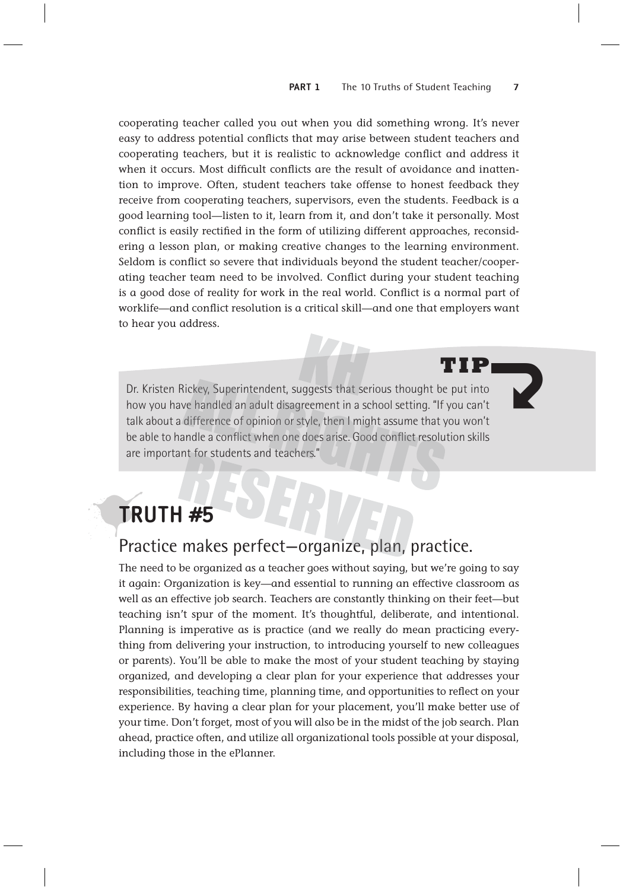**tip**

cooperating teacher called you out when you did something wrong. It's never easy to address potential conflicts that may arise between student teachers and cooperating teachers, but it is realistic to acknowledge conflict and address it when it occurs. Most difficult conflicts are the result of avoidance and inattention to improve. Often, student teachers take offense to honest feedback they receive from cooperating teachers, supervisors, even the students. Feedback is a good learning tool—listen to it, learn from it, and don't take it personally. Most conflict is easily rectified in the form of utilizing different approaches, reconsidering a lesson plan, or making creative changes to the learning environment. Seldom is conflict so severe that individuals beyond the student teacher/cooperating teacher team need to be involved. Conflict during your student teaching is a good dose of reality for work in the real world. Conflict is a normal part of worklife—and conflict resolution is a critical skill—and one that employers want to hear you address.

7 Dr. Kristen Rickey, Superintendent, suggests that serious thought be put into how you have handled an adult disagreement in a school setting. "If you can't talk about a difference of opinion or style, then I might assume that you won't be able to handle a conflict when one does arise. Good conflict resolution skills are important for students and teachers."

### **trutH #5**  TRI

#### Practice makes perfect—organize, plan, practice.

The need to be organized as a teacher goes without saying, but we're going to say it again: Organization is key—and essential to running an effective classroom as well as an effective job search. Teachers are constantly thinking on their feet—but teaching isn't spur of the moment. It's thoughtful, deliberate, and intentional. Planning is imperative as is practice (and we really do mean practicing everything from delivering your instruction, to introducing yourself to new colleagues or parents). You'll be able to make the most of your student teaching by staying organized, and developing a clear plan for your experience that addresses your responsibilities, teaching time, planning time, and opportunities to reflect on your experience. By having a clear plan for your placement, you'll make better use of your time. Don't forget, most of you will also be in the midst of the job search. Plan ahead, practice often, and utilize all organizational tools possible at your disposal, including those in the ePlanner.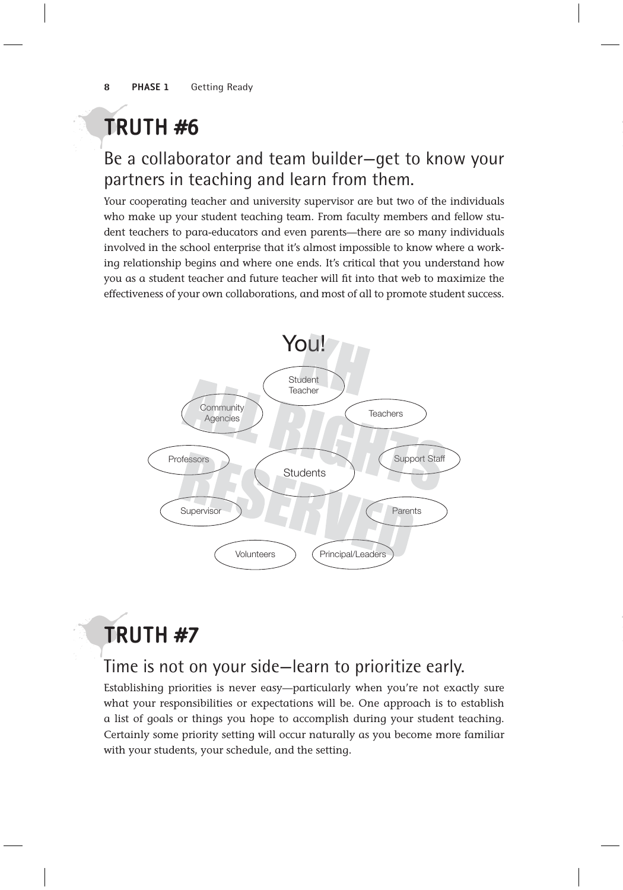### **trutH #6**

#### Be a collaborator and team builder—get to know your partners in teaching and learn from them.

Your cooperating teacher and university supervisor are but two of the individuals who make up your student teaching team. From faculty members and fellow student teachers to para-educators and even parents—there are so many individuals involved in the school enterprise that it's almost impossible to know where a working relationship begins and where one ends. It's critical that you understand how you as a student teacher and future teacher will fit into that web to maximize the effectiveness of your own collaborations, and most of all to promote student success. **EXAMPLE 1888**<br>Be a part<br>
Your comb in dent to involve ing region as<br>
effective effective<br>
FRI



### **trutH #7**

#### Time is not on your side—learn to prioritize early.

Establishing priorities is never easy—particularly when you're not exactly sure what your responsibilities or expectations will be. One approach is to establish a list of goals or things you hope to accomplish during your student teaching. Certainly some priority setting will occur naturally as you become more familiar with your students, your schedule, and the setting.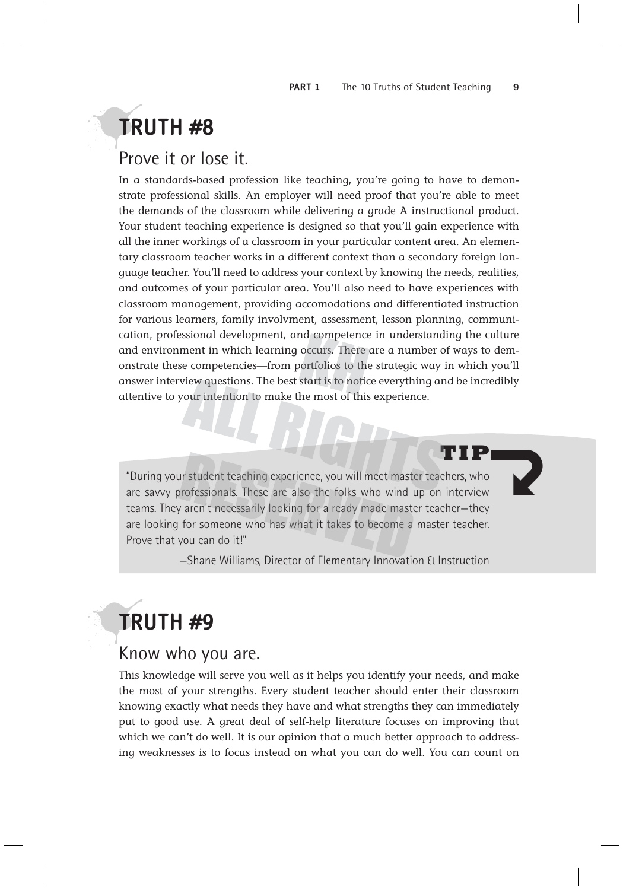**tip**

### **trutH #8**

#### Prove it or lose it.

In a standards-based profession like teaching, you're going to have to demonstrate professional skills. An employer will need proof that you're able to meet the demands of the classroom while delivering a grade A instructional product. Your student teaching experience is designed so that you'll gain experience with all the inner workings of a classroom in your particular content area. An elementary classroom teacher works in a different context than a secondary foreign language teacher. You'll need to address your context by knowing the needs, realities, and outcomes of your particular area. You'll also need to have experiences with classroom management, providing accomodations and differentiated instruction for various learners, family involvment, assessment, lesson planning, communication, professional development, and competence in understanding the culture and environment in which learning occurs. There are a number of ways to demonstrate these competencies—from portfolios to the strategic way in which you'll answer interview questions. The best start is to notice everything and be incredibly attentive to your intention to make the most of this experience. **TRUTH #48**<br>
Prove it or lose it.<br>
In a standards-based profession like teaching, you're going to have to demonstrate professional skills. An employer will need profot at you'll goin experience with the demends of the des

"During your student teaching experience, you will meet master teachers, who are savvy professionals. These are also the folks who wind up on interview teams. They aren't necessarily looking for a ready made master teacher—they are looking for someone who has what it takes to become a master teacher. Prove that you can do it!"

—Shane Williams, Director of Elementary Innovation & Instruction

### **trutH #9**

#### Know who you are.

This knowledge will serve you well as it helps you identify your needs, and make the most of your strengths. Every student teacher should enter their classroom knowing exactly what needs they have and what strengths they can immediately put to good use. A great deal of self-help literature focuses on improving that which we can't do well. It is our opinion that a much better approach to addressing weaknesses is to focus instead on what you can do well. You can count on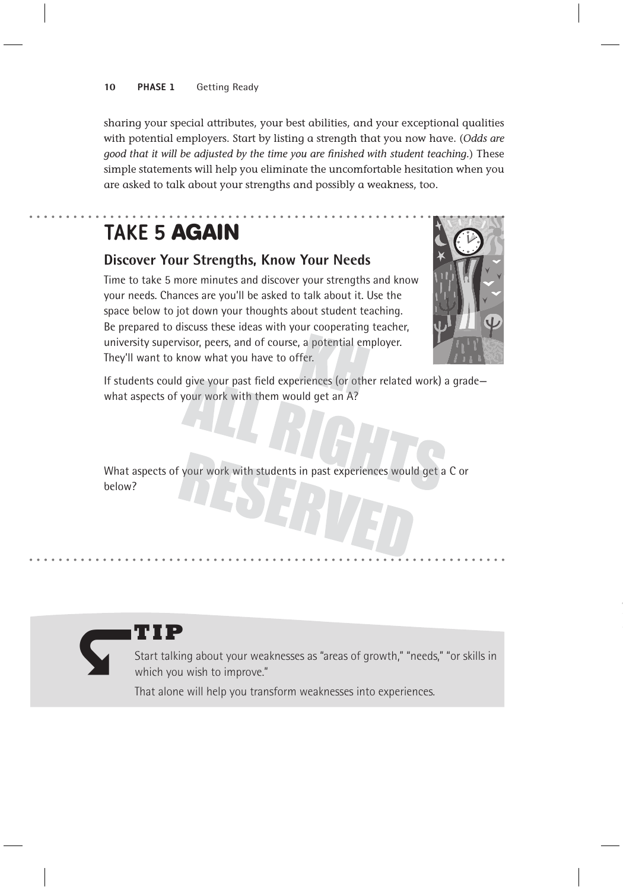sharing your special attributes, your best abilities, and your exceptional qualities with potential employers. Start by listing a strength that you now have. (*Odds are good that it will be adjusted by the time you are finished with student teaching.*) These simple statements will help you eliminate the uncomfortable hesitation when you are asked to talk about your strengths and possibly a weakness, too.

### **takE 5 AgAin**

#### **Discover Your Strengths, Know Your Needs**

Time to take 5 more minutes and discover your strengths and know your needs. Chances are you'll be asked to talk about it. Use the space below to jot down your thoughts about student teaching. Be prepared to discuss these ideas with your cooperating teacher, university supervisor, peers, and of course, a potential employer. They'll want to know what you have to offer.



If students could give your past field experiences (or other related work) a gradewhat aspects of your work with them would get an A?

What aspects of your work with students in past experiences would get a C or below?



#### **tip**

Start talking about your weaknesses as "areas of growth," "needs," "or skills in which you wish to improve."

That alone will help you transform weaknesses into experiences.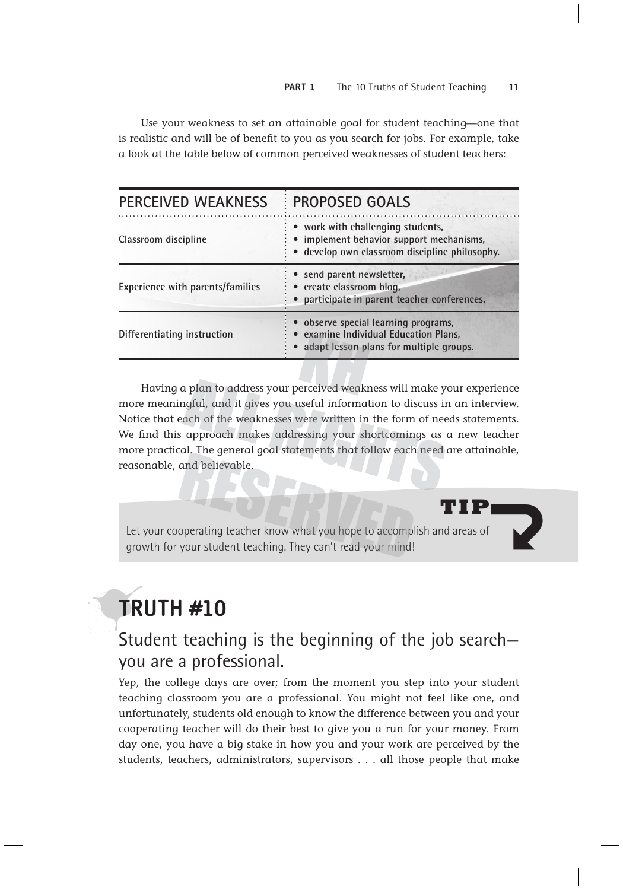$\overline{\mathbf{z}}$ 

 **tip**

Use your weakness to set an attainable goal for student teaching—one that is realistic and will be of benefit to you as you search for jobs. For example, take a look at the table below of common perceived weaknesses of student teachers:

| PERCEIVED WEAKNESS               | <b>PROPOSED GOALS</b>                                                                                                           |
|----------------------------------|---------------------------------------------------------------------------------------------------------------------------------|
| Classroom discipline             | • work with challenging students,<br>• implement behavior support mechanisms,<br>• develop own classroom discipline philosophy. |
| Experience with parents/families | • send parent newsletter,<br>• create classroom blog,<br>• participate in parent teacher conferences.                           |
| Differentiating instruction      | • observe special learning programs,<br>· examine Individual Education Plans,<br>adapt lesson plans for multiple groups.        |

Having a plan to address your perceived weakness will make your experience more meaningful, and it gives you useful information to discuss in an interview. Notice that each of the weaknesses were written in the form of needs statements. We find this approach makes addressing your shortcomings as a new teacher more practical. The general goal statements that follow each need are attainable, reasonable, and believable.

Let your cooperating teacher know what you hope to accomplish and areas of growth for your student teaching. They can't read your mind!

### **trutH #10**  TRI

#### Student teaching is the beginning of the job search you are a professional.

Yep, the college days are over; from the moment you step into your student teaching classroom you are a professional. You might not feel like one, and unfortunately, students old enough to know the difference between you and your cooperating teacher will do their best to give you a run for your money. From day one, you have a big stake in how you and your work are perceived by the students, teachers, administrators, supervisors . . . all those people that make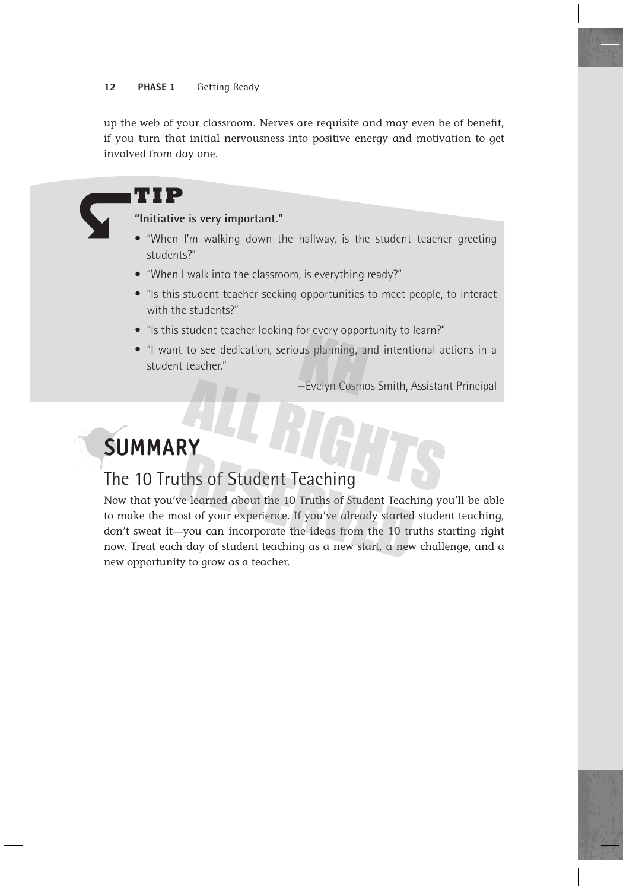up the web of your classroom. Nerves are requisite and may even be of benefit, if you turn that initial nervousness into positive energy and motivation to get involved from day one.

#### **tip**

**9 "Initiative is very important."**

- "When I'm walking down the hallway, is the student teacher greeting students?"
- "When I walk into the classroom, is everything ready?"
- "Is this student teacher seeking opportunities to meet people, to interact with the students?"
- "Is this student teacher looking for every opportunity to learn?"
- "I want to see dedication, serious planning, and intentional actions in a student teacher."

—Evelyn Cosmos Smith, Assistant Principal

### **SuMMarY**  SUI

#### The 10 Truths of Student Teaching

Now that you've learned about the 10 Truths of Student Teaching you'll be able to make the most of your experience. If you've already started student teaching, don't sweat it—you can incorporate the ideas from the 10 truths starting right now. Treat each day of student teaching as a new start, a new challenge, and a new opportunity to grow as a teacher.